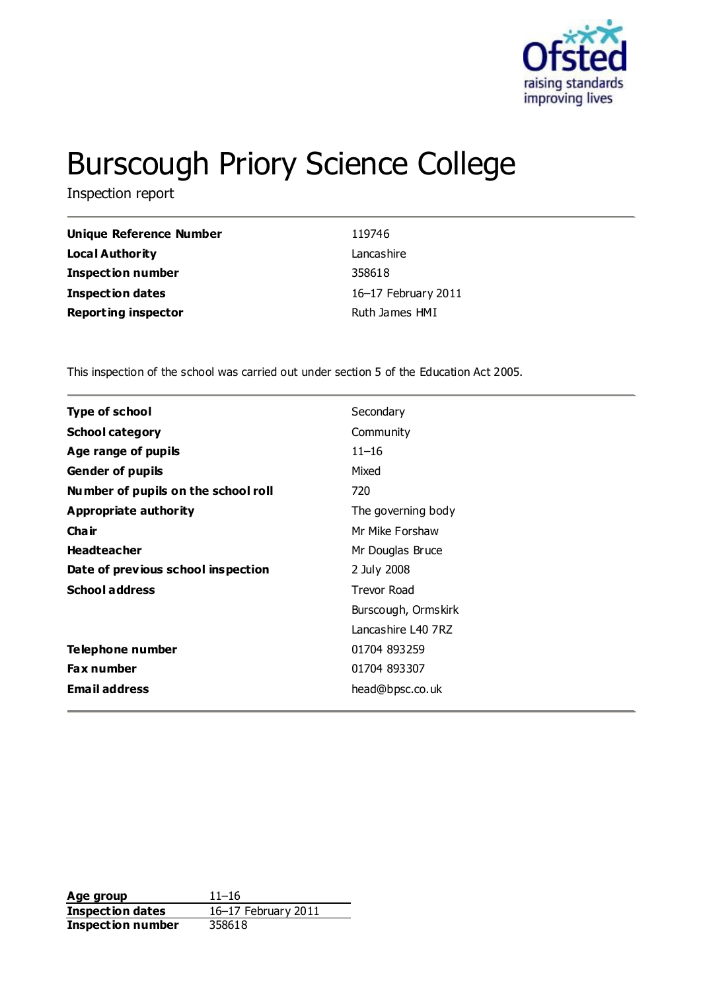

# Burscough Priory Science College

Inspection report

| Unique Reference Number    | 119746              |
|----------------------------|---------------------|
| Local Authority            | Lancashire          |
| <b>Inspection number</b>   | 358618              |
| Inspection dates           | 16-17 February 2011 |
| <b>Reporting inspector</b> | Ruth James HMI      |

This inspection of the school was carried out under section 5 of the Education Act 2005.

| <b>Type of school</b>               | Secondary           |
|-------------------------------------|---------------------|
| <b>School category</b>              | Community           |
| Age range of pupils                 | $11 - 16$           |
| <b>Gender of pupils</b>             | Mixed               |
| Number of pupils on the school roll | 720                 |
| Appropriate authority               | The governing body  |
| Cha ir                              | Mr Mike Forshaw     |
| <b>Headteacher</b>                  | Mr Douglas Bruce    |
| Date of previous school inspection  | 2 July 2008         |
| <b>School address</b>               | <b>Trevor Road</b>  |
|                                     | Burscough, Ormskirk |
|                                     | Lancashire L40 7RZ  |
| Telephone number                    | 01704 893259        |
| <b>Fax number</b>                   | 01704 893307        |
| <b>Email address</b>                | head@bpsc.co.uk     |

**Age group** 11–16 **Inspection dates** 16–17 February 2011 **Inspection number** 358618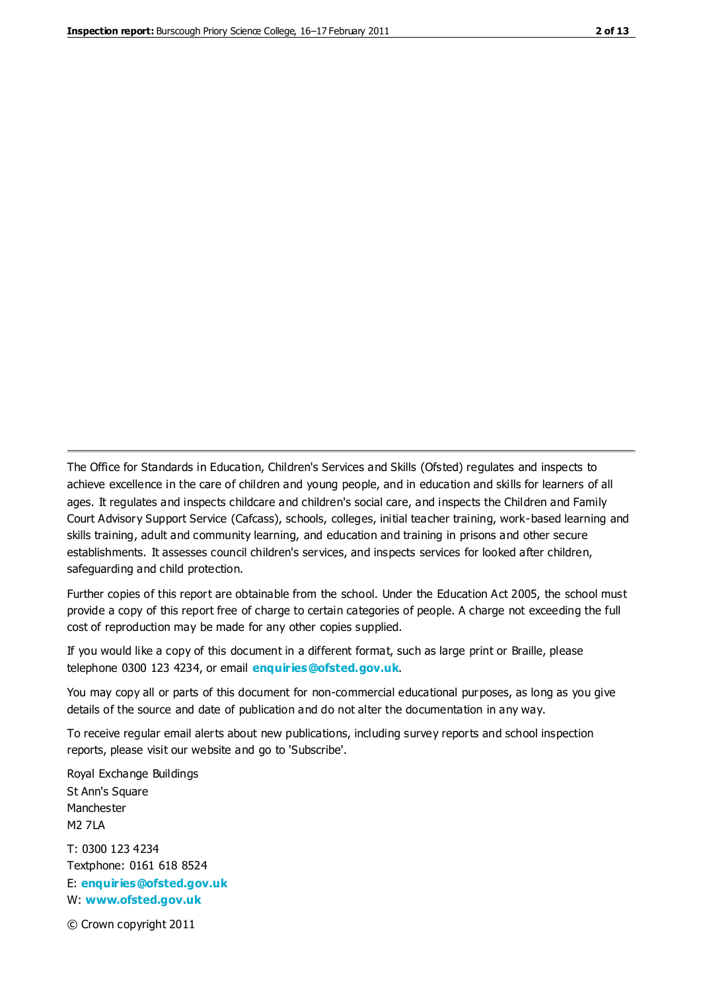The Office for Standards in Education, Children's Services and Skills (Ofsted) regulates and inspects to achieve excellence in the care of children and young people, and in education and skills for learners of all ages. It regulates and inspects childcare and children's social care, and inspects the Children and Family Court Advisory Support Service (Cafcass), schools, colleges, initial teacher training, work-based learning and skills training, adult and community learning, and education and training in prisons and other secure establishments. It assesses council children's services, and inspects services for looked after children, safeguarding and child protection.

Further copies of this report are obtainable from the school. Under the Education Act 2005, the school must provide a copy of this report free of charge to certain categories of people. A charge not exceeding the full cost of reproduction may be made for any other copies supplied.

If you would like a copy of this document in a different format, such as large print or Braille, please telephone 0300 123 4234, or email **[enquiries@ofsted.gov.uk](mailto:enquiries@ofsted.gov.uk)**.

You may copy all or parts of this document for non-commercial educational purposes, as long as you give details of the source and date of publication and do not alter the documentation in any way.

To receive regular email alerts about new publications, including survey reports and school inspection reports, please visit our website and go to 'Subscribe'.

Royal Exchange Buildings St Ann's Square Manchester M2 7LA T: 0300 123 4234 Textphone: 0161 618 8524 E: **[enquiries@ofsted.gov.uk](mailto:enquiries@ofsted.gov.uk)**

W: **[www.ofsted.gov.uk](http://www.ofsted.gov.uk/)**

© Crown copyright 2011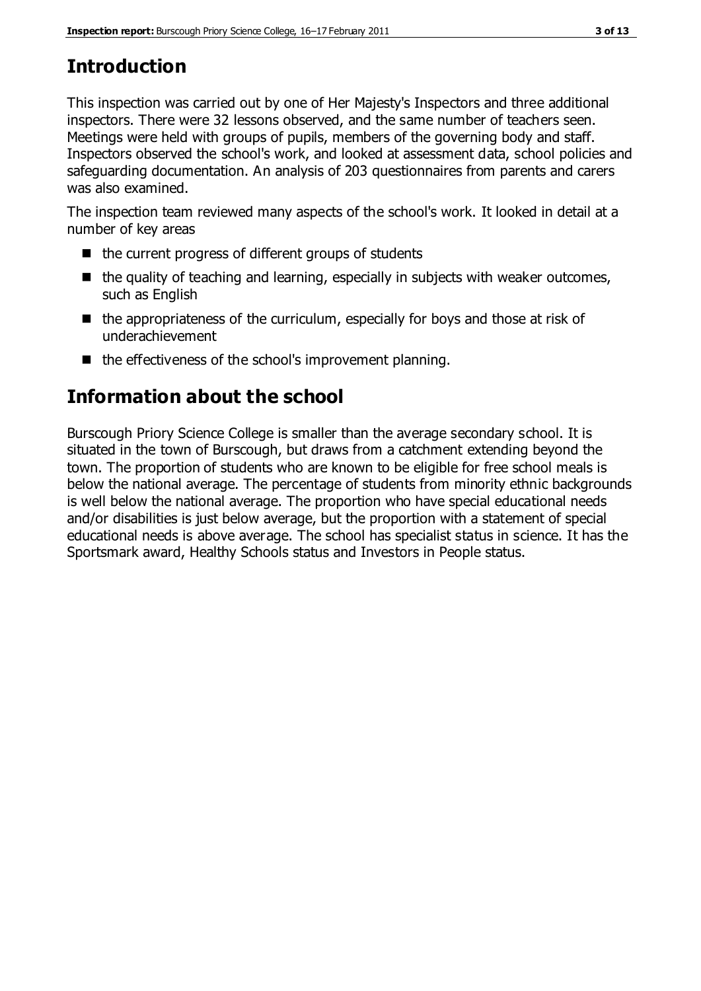# **Introduction**

This inspection was carried out by one of Her Majesty's Inspectors and three additional inspectors. There were 32 lessons observed, and the same number of teachers seen. Meetings were held with groups of pupils, members of the governing body and staff. Inspectors observed the school's work, and looked at assessment data, school policies and safeguarding documentation. An analysis of 203 questionnaires from parents and carers was also examined.

The inspection team reviewed many aspects of the school's work. It looked in detail at a number of key areas

- $\blacksquare$  the current progress of different groups of students
- $\blacksquare$  the quality of teaching and learning, especially in subjects with weaker outcomes, such as English
- $\blacksquare$  the appropriateness of the curriculum, especially for boys and those at risk of underachievement
- $\blacksquare$  the effectiveness of the school's improvement planning.

# **Information about the school**

Burscough Priory Science College is smaller than the average secondary school. It is situated in the town of Burscough, but draws from a catchment extending beyond the town. The proportion of students who are known to be eligible for free school meals is below the national average. The percentage of students from minority ethnic backgrounds is well below the national average. The proportion who have special educational needs and/or disabilities is just below average, but the proportion with a statement of special educational needs is above average. The school has specialist status in science. It has the Sportsmark award, Healthy Schools status and Investors in People status.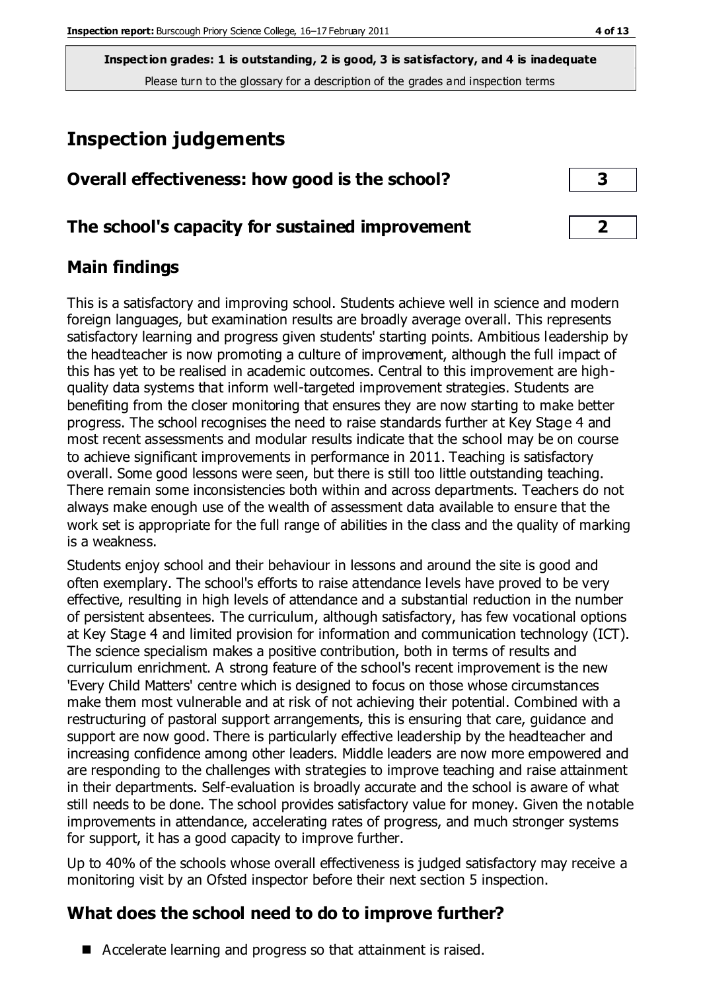# **Inspection judgements**

| Overall effectiveness: how good is the school? |  |
|------------------------------------------------|--|
|------------------------------------------------|--|

#### **The school's capacity for sustained improvement 2**

#### **Main findings**

This is a satisfactory and improving school. Students achieve well in science and modern foreign languages, but examination results are broadly average overall. This represents satisfactory learning and progress given students' starting points. Ambitious leadership by the headteacher is now promoting a culture of improvement, although the full impact of this has yet to be realised in academic outcomes. Central to this improvement are highquality data systems that inform well-targeted improvement strategies. Students are benefiting from the closer monitoring that ensures they are now starting to make better progress. The school recognises the need to raise standards further at Key Stage 4 and most recent assessments and modular results indicate that the school may be on course to achieve significant improvements in performance in 2011. Teaching is satisfactory overall. Some good lessons were seen, but there is still too little outstanding teaching. There remain some inconsistencies both within and across departments. Teachers do not always make enough use of the wealth of assessment data available to ensure that the work set is appropriate for the full range of abilities in the class and the quality of marking is a weakness.

Students enjoy school and their behaviour in lessons and around the site is good and often exemplary. The school's efforts to raise attendance levels have proved to be very effective, resulting in high levels of attendance and a substantial reduction in the number of persistent absentees. The curriculum, although satisfactory, has few vocational options at Key Stage 4 and limited provision for information and communication technology (ICT). The science specialism makes a positive contribution, both in terms of results and curriculum enrichment. A strong feature of the school's recent improvement is the new 'Every Child Matters' centre which is designed to focus on those whose circumstances make them most vulnerable and at risk of not achieving their potential. Combined with a restructuring of pastoral support arrangements, this is ensuring that care, guidance and support are now good. There is particularly effective leadership by the headteacher and increasing confidence among other leaders. Middle leaders are now more empowered and are responding to the challenges with strategies to improve teaching and raise attainment in their departments. Self-evaluation is broadly accurate and the school is aware of what still needs to be done. The school provides satisfactory value for money. Given the notable improvements in attendance, accelerating rates of progress, and much stronger systems for support, it has a good capacity to improve further.

Up to 40% of the schools whose overall effectiveness is judged satisfactory may receive a monitoring visit by an Ofsted inspector before their next section 5 inspection.

### **What does the school need to do to improve further?**

■ Accelerate learning and progress so that attainment is raised.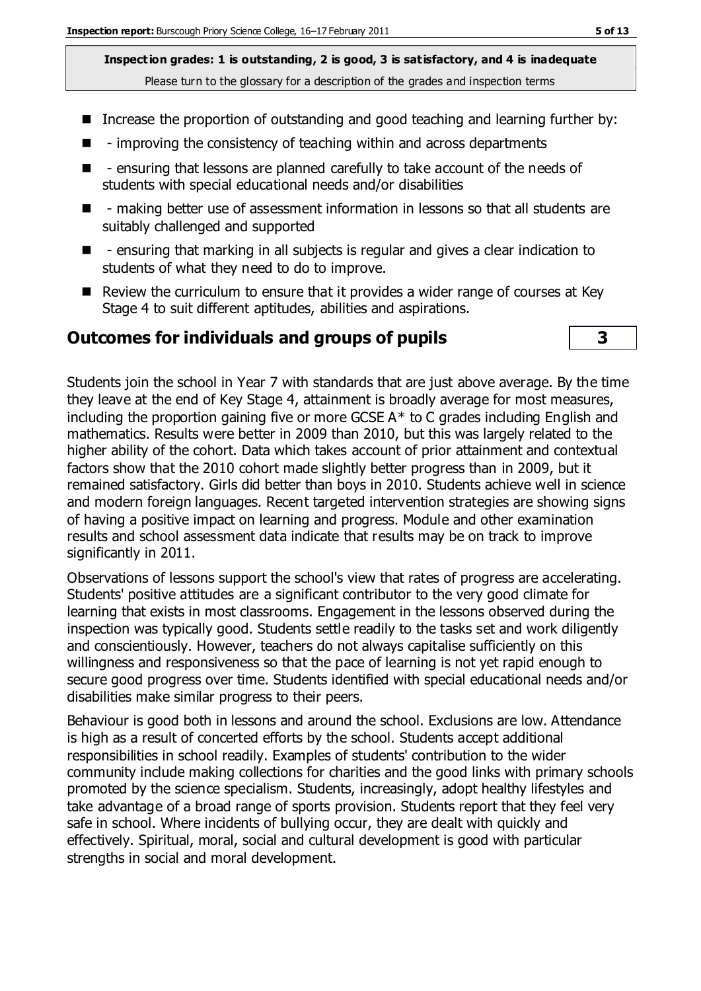- Increase the proportion of outstanding and good teaching and learning further by:
- $\blacksquare$  improving the consistency of teaching within and across departments
- **E** ensuring that lessons are planned carefully to take account of the needs of students with special educational needs and/or disabilities
- - making better use of assessment information in lessons so that all students are suitably challenged and supported
- **E** ensuring that marking in all subjects is regular and gives a clear indication to students of what they need to do to improve.
- $\blacksquare$  Review the curriculum to ensure that it provides a wider range of courses at Key Stage 4 to suit different aptitudes, abilities and aspirations.

#### **Outcomes for individuals and groups of pupils 3**

Students join the school in Year 7 with standards that are just above average. By the time they leave at the end of Key Stage 4, attainment is broadly average for most measures, including the proportion gaining five or more GCSE A\* to C grades including English and mathematics. Results were better in 2009 than 2010, but this was largely related to the higher ability of the cohort. Data which takes account of prior attainment and contextual factors show that the 2010 cohort made slightly better progress than in 2009, but it remained satisfactory. Girls did better than boys in 2010. Students achieve well in science and modern foreign languages. Recent targeted intervention strategies are showing signs of having a positive impact on learning and progress. Module and other examination results and school assessment data indicate that results may be on track to improve significantly in 2011.

Observations of lessons support the school's view that rates of progress are accelerating. Students' positive attitudes are a significant contributor to the very good climate for learning that exists in most classrooms. Engagement in the lessons observed during the inspection was typically good. Students settle readily to the tasks set and work diligently and conscientiously. However, teachers do not always capitalise sufficiently on this willingness and responsiveness so that the pace of learning is not yet rapid enough to secure good progress over time. Students identified with special educational needs and/or disabilities make similar progress to their peers.

Behaviour is good both in lessons and around the school. Exclusions are low. Attendance is high as a result of concerted efforts by the school. Students accept additional responsibilities in school readily. Examples of students' contribution to the wider community include making collections for charities and the good links with primary schools promoted by the science specialism. Students, increasingly, adopt healthy lifestyles and take advantage of a broad range of sports provision. Students report that they feel very safe in school. Where incidents of bullying occur, they are dealt with quickly and effectively. Spiritual, moral, social and cultural development is good with particular strengths in social and moral development.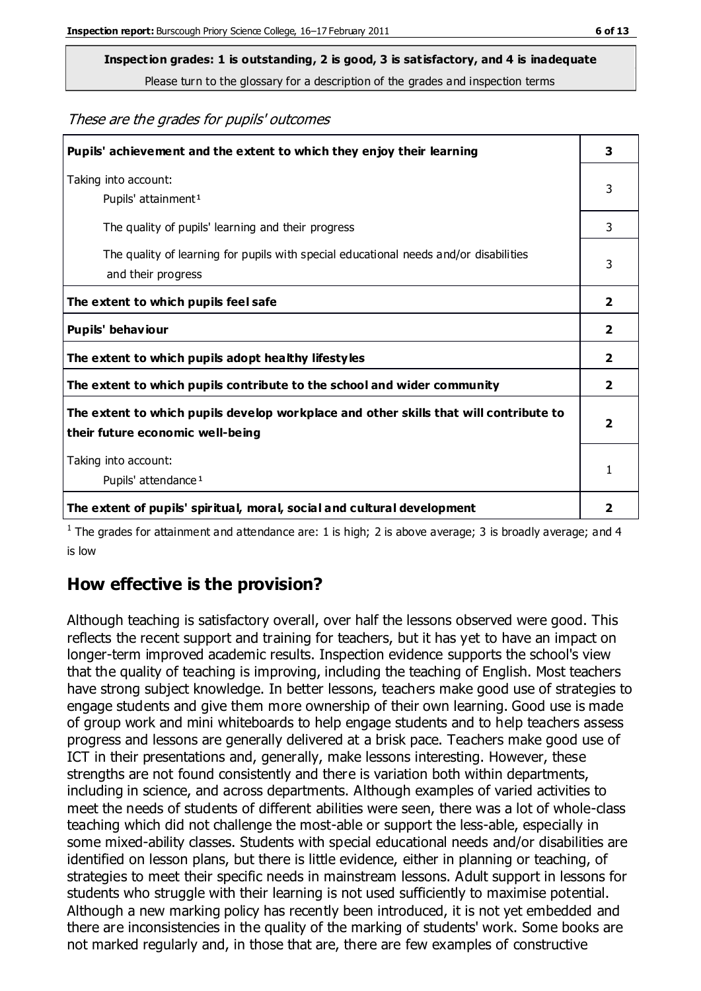# **Inspection grades: 1 is outstanding, 2 is good, 3 is satisfactory, and 4 is inadequate**

Please turn to the glossary for a description of the grades and inspection terms

These are the grades for pupils' outcomes

| Pupils' achievement and the extent to which they enjoy their learning                                                     |                |
|---------------------------------------------------------------------------------------------------------------------------|----------------|
| Taking into account:<br>Pupils' attainment <sup>1</sup>                                                                   | 3              |
| The quality of pupils' learning and their progress                                                                        | 3              |
| The quality of learning for pupils with special educational needs and/or disabilities<br>and their progress               | 3              |
| The extent to which pupils feel safe                                                                                      | $\overline{2}$ |
| Pupils' behaviour                                                                                                         | 2              |
| The extent to which pupils adopt healthy lifestyles                                                                       | 2              |
| The extent to which pupils contribute to the school and wider community                                                   | $\overline{2}$ |
| The extent to which pupils develop workplace and other skills that will contribute to<br>their future economic well-being |                |
| Taking into account:<br>Pupils' attendance <sup>1</sup>                                                                   |                |
| The extent of pupils' spiritual, moral, social and cultural development                                                   | 2              |

<sup>1</sup> The grades for attainment and attendance are: 1 is high; 2 is above average; 3 is broadly average; and 4 is low

#### **How effective is the provision?**

Although teaching is satisfactory overall, over half the lessons observed were good. This reflects the recent support and training for teachers, but it has yet to have an impact on longer-term improved academic results. Inspection evidence supports the school's view that the quality of teaching is improving, including the teaching of English. Most teachers have strong subject knowledge. In better lessons, teachers make good use of strategies to engage students and give them more ownership of their own learning. Good use is made of group work and mini whiteboards to help engage students and to help teachers assess progress and lessons are generally delivered at a brisk pace. Teachers make good use of ICT in their presentations and, generally, make lessons interesting. However, these strengths are not found consistently and there is variation both within departments, including in science, and across departments. Although examples of varied activities to meet the needs of students of different abilities were seen, there was a lot of whole-class teaching which did not challenge the most-able or support the less-able, especially in some mixed-ability classes. Students with special educational needs and/or disabilities are identified on lesson plans, but there is little evidence, either in planning or teaching, of strategies to meet their specific needs in mainstream lessons. Adult support in lessons for students who struggle with their learning is not used sufficiently to maximise potential. Although a new marking policy has recently been introduced, it is not yet embedded and there are inconsistencies in the quality of the marking of students' work. Some books are not marked regularly and, in those that are, there are few examples of constructive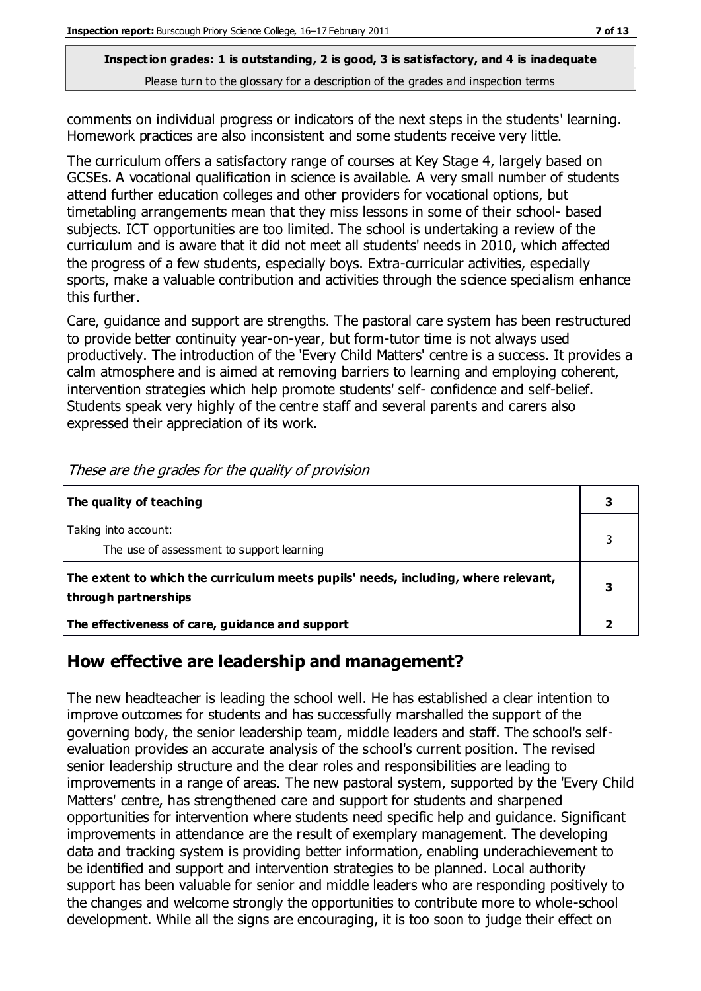comments on individual progress or indicators of the next steps in the students' learning. Homework practices are also inconsistent and some students receive very little.

The curriculum offers a satisfactory range of courses at Key Stage 4, largely based on GCSEs. A vocational qualification in science is available. A very small number of students attend further education colleges and other providers for vocational options, but timetabling arrangements mean that they miss lessons in some of their school- based subjects. ICT opportunities are too limited. The school is undertaking a review of the curriculum and is aware that it did not meet all students' needs in 2010, which affected the progress of a few students, especially boys. Extra-curricular activities, especially sports, make a valuable contribution and activities through the science specialism enhance this further.

Care, guidance and support are strengths. The pastoral care system has been restructured to provide better continuity year-on-year, but form-tutor time is not always used productively. The introduction of the 'Every Child Matters' centre is a success. It provides a calm atmosphere and is aimed at removing barriers to learning and employing coherent, intervention strategies which help promote students' self- confidence and self-belief. Students speak very highly of the centre staff and several parents and carers also expressed their appreciation of its work.

| The quality of teaching                                                                                    |   |
|------------------------------------------------------------------------------------------------------------|---|
| Taking into account:<br>The use of assessment to support learning                                          |   |
| The extent to which the curriculum meets pupils' needs, including, where relevant,<br>through partnerships | 3 |
| The effectiveness of care, guidance and support                                                            |   |

These are the grades for the quality of provision

#### **How effective are leadership and management?**

The new headteacher is leading the school well. He has established a clear intention to improve outcomes for students and has successfully marshalled the support of the governing body, the senior leadership team, middle leaders and staff. The school's selfevaluation provides an accurate analysis of the school's current position. The revised senior leadership structure and the clear roles and responsibilities are leading to improvements in a range of areas. The new pastoral system, supported by the 'Every Child Matters' centre, has strengthened care and support for students and sharpened opportunities for intervention where students need specific help and guidance. Significant improvements in attendance are the result of exemplary management. The developing data and tracking system is providing better information, enabling underachievement to be identified and support and intervention strategies to be planned. Local authority support has been valuable for senior and middle leaders who are responding positively to the changes and welcome strongly the opportunities to contribute more to whole-school development. While all the signs are encouraging, it is too soon to judge their effect on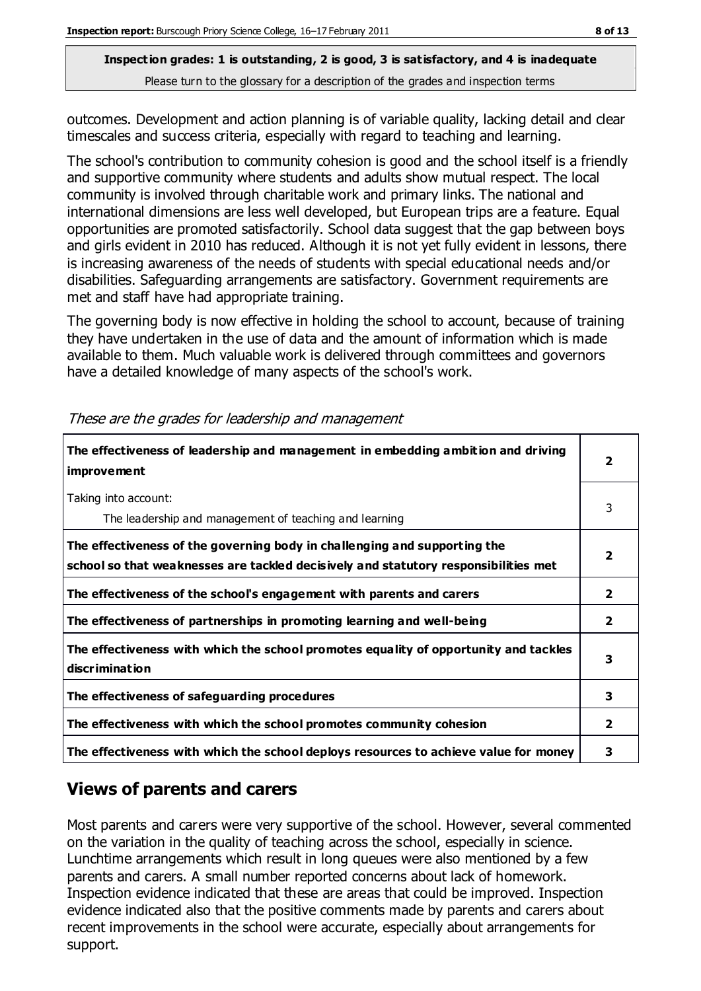outcomes. Development and action planning is of variable quality, lacking detail and clear timescales and success criteria, especially with regard to teaching and learning.

The school's contribution to community cohesion is good and the school itself is a friendly and supportive community where students and adults show mutual respect. The local community is involved through charitable work and primary links. The national and international dimensions are less well developed, but European trips are a feature. Equal opportunities are promoted satisfactorily. School data suggest that the gap between boys and girls evident in 2010 has reduced. Although it is not yet fully evident in lessons, there is increasing awareness of the needs of students with special educational needs and/or disabilities. Safeguarding arrangements are satisfactory. Government requirements are met and staff have had appropriate training.

The governing body is now effective in holding the school to account, because of training they have undertaken in the use of data and the amount of information which is made available to them. Much valuable work is delivered through committees and governors have a detailed knowledge of many aspects of the school's work.

| The effectiveness of leadership and management in embedding ambition and driving<br><i>improvement</i>                                                           |                |
|------------------------------------------------------------------------------------------------------------------------------------------------------------------|----------------|
| Taking into account:<br>The leadership and management of teaching and learning                                                                                   | 3              |
| The effectiveness of the governing body in challenging and supporting the<br>school so that weaknesses are tackled decisively and statutory responsibilities met | 7              |
| The effectiveness of the school's engagement with parents and carers                                                                                             | $\mathbf{2}$   |
| The effectiveness of partnerships in promoting learning and well-being                                                                                           | $\mathbf{2}$   |
| The effectiveness with which the school promotes equality of opportunity and tackles<br>discrimination                                                           | 3              |
| The effectiveness of safeguarding procedures                                                                                                                     | 3              |
| The effectiveness with which the school promotes community cohesion                                                                                              | $\overline{2}$ |
| The effectiveness with which the school deploys resources to achieve value for money                                                                             | 3              |

These are the grades for leadership and management

### **Views of parents and carers**

Most parents and carers were very supportive of the school. However, several commented on the variation in the quality of teaching across the school, especially in science. Lunchtime arrangements which result in long queues were also mentioned by a few parents and carers. A small number reported concerns about lack of homework. Inspection evidence indicated that these are areas that could be improved. Inspection evidence indicated also that the positive comments made by parents and carers about recent improvements in the school were accurate, especially about arrangements for support.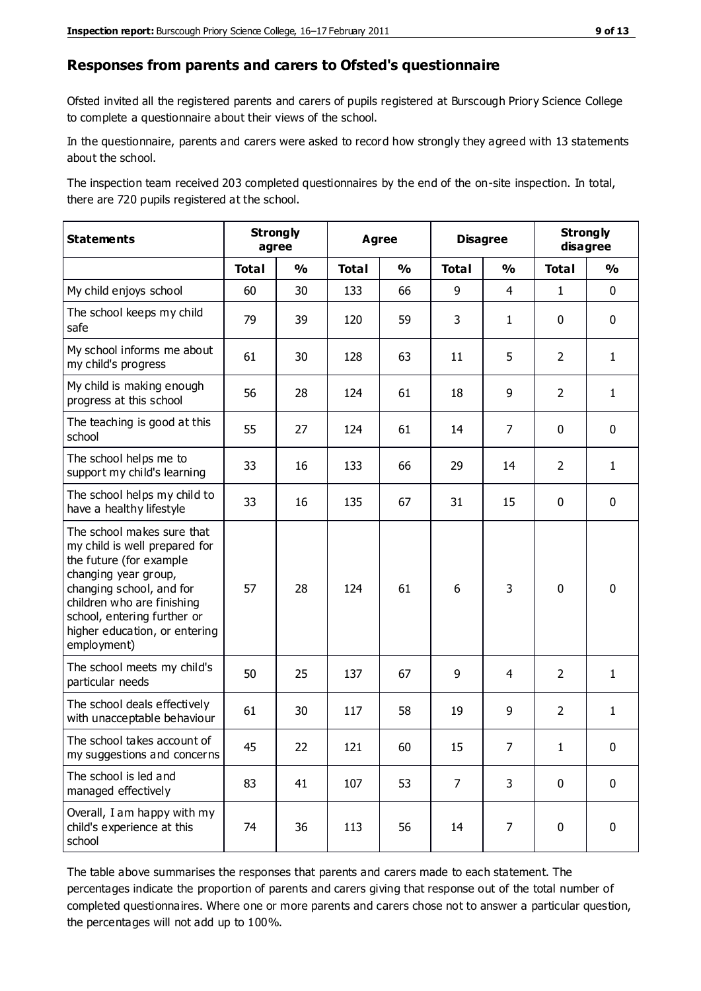#### **Responses from parents and carers to Ofsted's questionnaire**

Ofsted invited all the registered parents and carers of pupils registered at Burscough Priory Science College to complete a questionnaire about their views of the school.

In the questionnaire, parents and carers were asked to record how strongly they agreed with 13 statements about the school.

The inspection team received 203 completed questionnaires by the end of the on-site inspection. In total, there are 720 pupils registered at the school.

| <b>Statements</b>                                                                                                                                                                                                                                       | <b>Strongly</b><br>agree |               | <b>Agree</b> |               | <b>Disagree</b> |                | <b>Strongly</b><br>disagree |               |
|---------------------------------------------------------------------------------------------------------------------------------------------------------------------------------------------------------------------------------------------------------|--------------------------|---------------|--------------|---------------|-----------------|----------------|-----------------------------|---------------|
|                                                                                                                                                                                                                                                         | <b>Total</b>             | $\frac{1}{2}$ | <b>Total</b> | $\frac{0}{0}$ | <b>Total</b>    | $\frac{0}{0}$  | <b>Total</b>                | $\frac{0}{0}$ |
| My child enjoys school                                                                                                                                                                                                                                  | 60                       | 30            | 133          | 66            | 9               | $\overline{4}$ | $\mathbf{1}$                | $\mathbf 0$   |
| The school keeps my child<br>safe                                                                                                                                                                                                                       | 79                       | 39            | 120          | 59            | 3               | $\mathbf{1}$   | $\mathbf 0$                 | $\mathbf 0$   |
| My school informs me about<br>my child's progress                                                                                                                                                                                                       | 61                       | 30            | 128          | 63            | 11              | 5              | $\overline{2}$              | $\mathbf{1}$  |
| My child is making enough<br>progress at this school                                                                                                                                                                                                    | 56                       | 28            | 124          | 61            | 18              | 9              | $\overline{2}$              | $\mathbf{1}$  |
| The teaching is good at this<br>school                                                                                                                                                                                                                  | 55                       | 27            | 124          | 61            | 14              | $\overline{7}$ | $\mathbf 0$                 | $\mathbf 0$   |
| The school helps me to<br>support my child's learning                                                                                                                                                                                                   | 33                       | 16            | 133          | 66            | 29              | 14             | $\overline{2}$              | 1             |
| The school helps my child to<br>have a healthy lifestyle                                                                                                                                                                                                | 33                       | 16            | 135          | 67            | 31              | 15             | $\mathbf 0$                 | $\mathbf 0$   |
| The school makes sure that<br>my child is well prepared for<br>the future (for example<br>changing year group,<br>changing school, and for<br>children who are finishing<br>school, entering further or<br>higher education, or entering<br>employment) | 57                       | 28            | 124          | 61            | 6               | 3              | $\mathbf 0$                 | $\mathbf 0$   |
| The school meets my child's<br>particular needs                                                                                                                                                                                                         | 50                       | 25            | 137          | 67            | 9               | 4              | $\overline{2}$              | $\mathbf{1}$  |
| The school deals effectively<br>with unacceptable behaviour                                                                                                                                                                                             | 61                       | 30            | 117          | 58            | 19              | 9              | $\overline{2}$              | $\mathbf{1}$  |
| The school takes account of<br>my suggestions and concerns                                                                                                                                                                                              | 45                       | 22            | 121          | 60            | 15              | 7              | 1                           | 0             |
| The school is led and<br>managed effectively                                                                                                                                                                                                            | 83                       | 41            | 107          | 53            | $\overline{7}$  | 3              | $\mathbf 0$                 | $\mathbf 0$   |
| Overall, I am happy with my<br>child's experience at this<br>school                                                                                                                                                                                     | 74                       | 36            | 113          | 56            | 14              | $\overline{7}$ | $\mathbf 0$                 | $\mathbf 0$   |

The table above summarises the responses that parents and carers made to each statement. The percentages indicate the proportion of parents and carers giving that response out of the total number of completed questionnaires. Where one or more parents and carers chose not to answer a particular question, the percentages will not add up to 100%.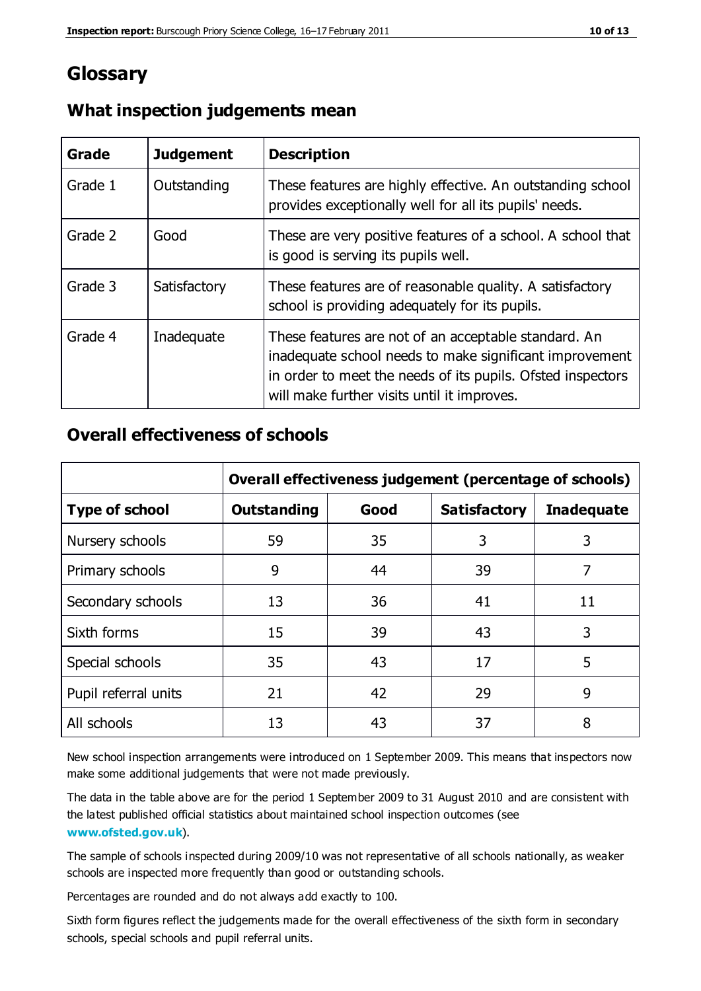## **Glossary**

| Grade   | <b>Judgement</b> | <b>Description</b>                                                                                                                                                                                                            |
|---------|------------------|-------------------------------------------------------------------------------------------------------------------------------------------------------------------------------------------------------------------------------|
| Grade 1 | Outstanding      | These features are highly effective. An outstanding school<br>provides exceptionally well for all its pupils' needs.                                                                                                          |
| Grade 2 | Good             | These are very positive features of a school. A school that<br>is good is serving its pupils well.                                                                                                                            |
| Grade 3 | Satisfactory     | These features are of reasonable quality. A satisfactory<br>school is providing adequately for its pupils.                                                                                                                    |
| Grade 4 | Inadequate       | These features are not of an acceptable standard. An<br>inadequate school needs to make significant improvement<br>in order to meet the needs of its pupils. Ofsted inspectors<br>will make further visits until it improves. |

#### **What inspection judgements mean**

#### **Overall effectiveness of schools**

|                       | Overall effectiveness judgement (percentage of schools) |      |                     |                   |
|-----------------------|---------------------------------------------------------|------|---------------------|-------------------|
| <b>Type of school</b> | <b>Outstanding</b>                                      | Good | <b>Satisfactory</b> | <b>Inadequate</b> |
| Nursery schools       | 59                                                      | 35   | 3                   | 3                 |
| Primary schools       | 9                                                       | 44   | 39                  | 7                 |
| Secondary schools     | 13                                                      | 36   | 41                  | 11                |
| Sixth forms           | 15                                                      | 39   | 43                  | 3                 |
| Special schools       | 35                                                      | 43   | 17                  | 5                 |
| Pupil referral units  | 21                                                      | 42   | 29                  | 9                 |
| All schools           | 13                                                      | 43   | 37                  | 8                 |

New school inspection arrangements were introduced on 1 September 2009. This means that inspectors now make some additional judgements that were not made previously.

The data in the table above are for the period 1 September 2009 to 31 August 2010 and are consistent with the latest published official statistics about maintained school inspection outcomes (see **[www.ofsted.gov.uk](http://www.ofsted.gov.uk/)**).

The sample of schools inspected during 2009/10 was not representative of all schools nationally, as weaker schools are inspected more frequently than good or outstanding schools.

Percentages are rounded and do not always add exactly to 100.

Sixth form figures reflect the judgements made for the overall effectiveness of the sixth form in secondary schools, special schools and pupil referral units.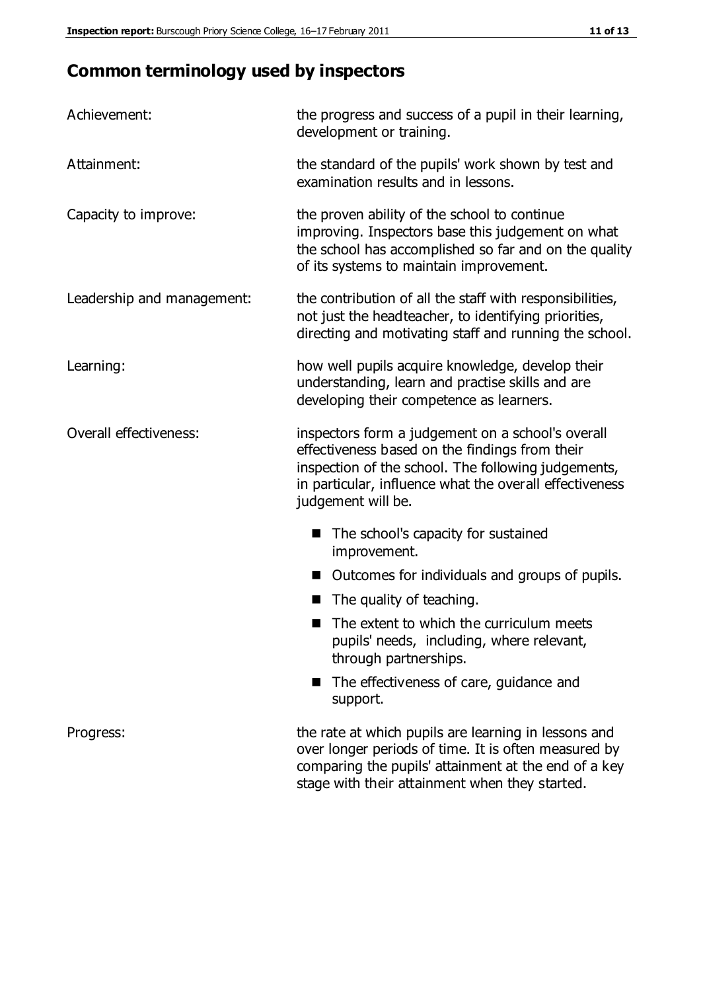# **Common terminology used by inspectors**

| Achievement:                  | the progress and success of a pupil in their learning,<br>development or training.                                                                                                                                                          |  |  |
|-------------------------------|---------------------------------------------------------------------------------------------------------------------------------------------------------------------------------------------------------------------------------------------|--|--|
| Attainment:                   | the standard of the pupils' work shown by test and<br>examination results and in lessons.                                                                                                                                                   |  |  |
| Capacity to improve:          | the proven ability of the school to continue<br>improving. Inspectors base this judgement on what<br>the school has accomplished so far and on the quality<br>of its systems to maintain improvement.                                       |  |  |
| Leadership and management:    | the contribution of all the staff with responsibilities,<br>not just the headteacher, to identifying priorities,<br>directing and motivating staff and running the school.                                                                  |  |  |
| Learning:                     | how well pupils acquire knowledge, develop their<br>understanding, learn and practise skills and are<br>developing their competence as learners.                                                                                            |  |  |
| <b>Overall effectiveness:</b> | inspectors form a judgement on a school's overall<br>effectiveness based on the findings from their<br>inspection of the school. The following judgements,<br>in particular, influence what the overall effectiveness<br>judgement will be. |  |  |
|                               | The school's capacity for sustained<br>improvement.                                                                                                                                                                                         |  |  |
|                               | Outcomes for individuals and groups of pupils.                                                                                                                                                                                              |  |  |
|                               | The quality of teaching.                                                                                                                                                                                                                    |  |  |
|                               | The extent to which the curriculum meets<br>pupils' needs, including, where relevant,<br>through partnerships.                                                                                                                              |  |  |
|                               | The effectiveness of care, guidance and<br>support.                                                                                                                                                                                         |  |  |
| Progress:                     | the rate at which pupils are learning in lessons and<br>over longer periods of time. It is often measured by<br>comparing the pupils' attainment at the end of a key                                                                        |  |  |

stage with their attainment when they started.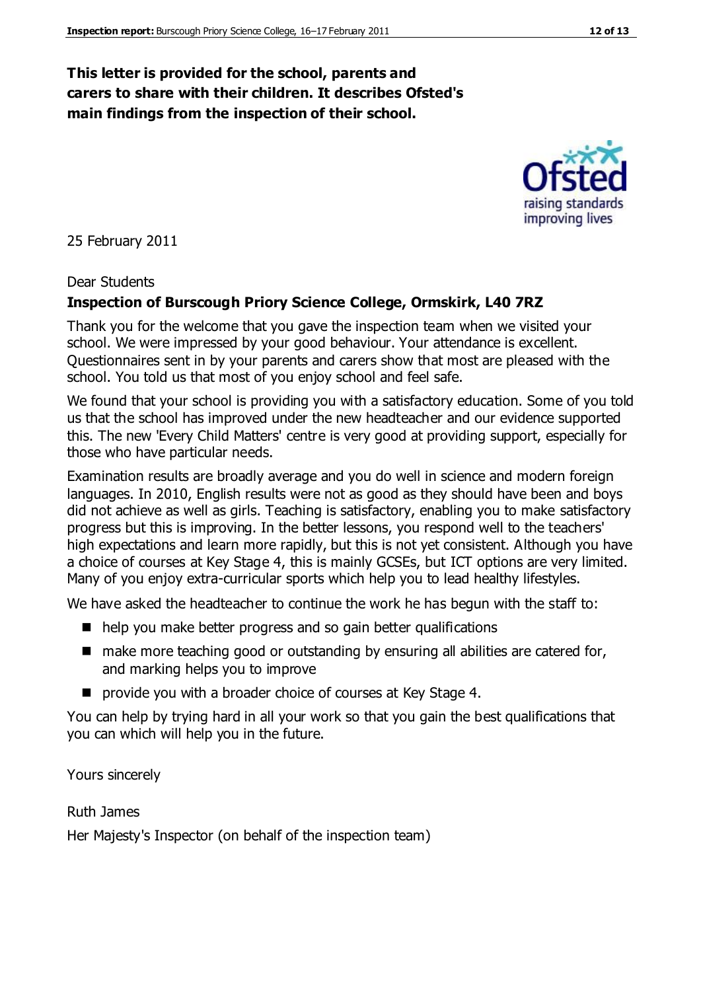#### **This letter is provided for the school, parents and carers to share with their children. It describes Ofsted's main findings from the inspection of their school.**

25 February 2011

#### Dear Students

#### **Inspection of Burscough Priory Science College, Ormskirk, L40 7RZ**

Thank you for the welcome that you gave the inspection team when we visited your school. We were impressed by your good behaviour. Your attendance is excellent. Questionnaires sent in by your parents and carers show that most are pleased with the school. You told us that most of you enjoy school and feel safe.

We found that your school is providing you with a satisfactory education. Some of you told us that the school has improved under the new headteacher and our evidence supported this. The new 'Every Child Matters' centre is very good at providing support, especially for those who have particular needs.

Examination results are broadly average and you do well in science and modern foreign languages. In 2010, English results were not as good as they should have been and boys did not achieve as well as girls. Teaching is satisfactory, enabling you to make satisfactory progress but this is improving. In the better lessons, you respond well to the teachers' high expectations and learn more rapidly, but this is not yet consistent. Although you have a choice of courses at Key Stage 4, this is mainly GCSEs, but ICT options are very limited. Many of you enjoy extra-curricular sports which help you to lead healthy lifestyles.

We have asked the headteacher to continue the work he has begun with the staff to:

- help you make better progress and so gain better qualifications
- $\blacksquare$  make more teaching good or outstanding by ensuring all abilities are catered for, and marking helps you to improve
- provide you with a broader choice of courses at Key Stage 4.

You can help by trying hard in all your work so that you gain the best qualifications that you can which will help you in the future.

Yours sincerely

Ruth James

Her Majesty's Inspector (on behalf of the inspection team)